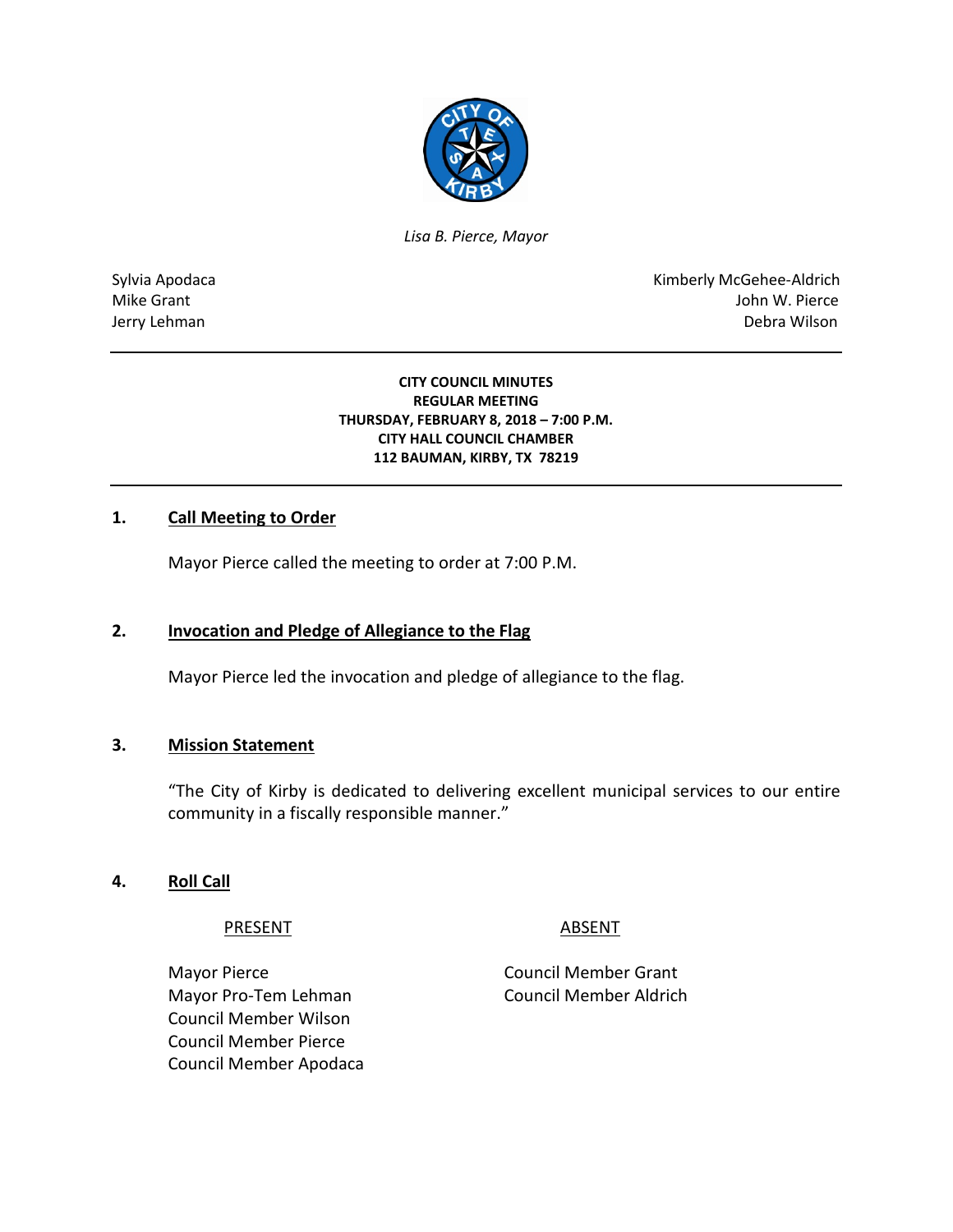

*Lisa B. Pierce, Mayor* 

Sylvia Apodaca National Apodaca Kimberly McGehee-Aldrich Mike Grant John W. Pierce Jerry Lehman Debra Wilson (2008) and the state of the state of the state of the state of the state of the state of the state of the state of the state of the state of the state of the state of the state of the state of the

> **CITY COUNCIL MINUTES REGULAR MEETING THURSDAY, FEBRUARY 8, 2018 – 7:00 P.M. CITY HALL COUNCIL CHAMBER 112 BAUMAN, KIRBY, TX 78219**

## **1. Call Meeting to Order**

Mayor Pierce called the meeting to order at 7:00 P.M.

#### **2. Invocation and Pledge of Allegiance to the Flag**

Mayor Pierce led the invocation and pledge of allegiance to the flag.

#### **3. Mission Statement**

"The City of Kirby is dedicated to delivering excellent municipal services to our entire community in a fiscally responsible manner."

#### **4. Roll Call**

PRESENT ABSENT

Mayor Pierce **Council Member Grant** Mayor Pro-Tem Lehman Council Member Aldrich Council Member Wilson Council Member Pierce Council Member Apodaca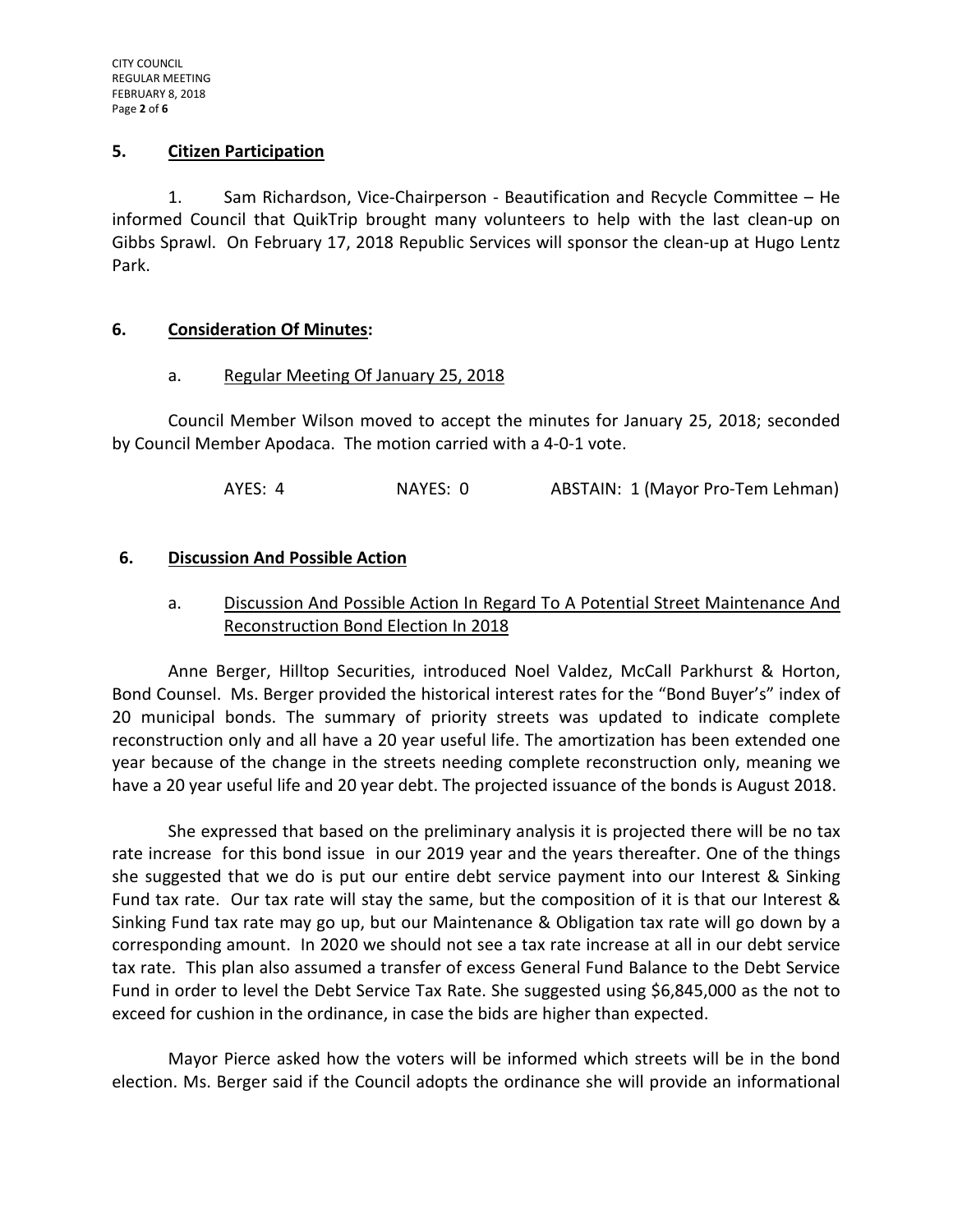#### **5. Citizen Participation**

1. Sam Richardson, Vice-Chairperson - Beautification and Recycle Committee – He informed Council that QuikTrip brought many volunteers to help with the last clean-up on Gibbs Sprawl. On February 17, 2018 Republic Services will sponsor the clean-up at Hugo Lentz Park.

#### **6. Consideration Of Minutes:**

#### a. Regular Meeting Of January 25, 2018

Council Member Wilson moved to accept the minutes for January 25, 2018; seconded by Council Member Apodaca. The motion carried with a 4-0-1 vote.

AYES: 4 NAYES: 0 ABSTAIN: 1 (Mayor Pro-Tem Lehman)

#### **6. Discussion And Possible Action**

# a. Discussion And Possible Action In Regard To A Potential Street Maintenance And Reconstruction Bond Election In 2018

Anne Berger, Hilltop Securities, introduced Noel Valdez, McCall Parkhurst & Horton, Bond Counsel. Ms. Berger provided the historical interest rates for the "Bond Buyer's" index of 20 municipal bonds. The summary of priority streets was updated to indicate complete reconstruction only and all have a 20 year useful life. The amortization has been extended one year because of the change in the streets needing complete reconstruction only, meaning we have a 20 year useful life and 20 year debt. The projected issuance of the bonds is August 2018.

She expressed that based on the preliminary analysis it is projected there will be no tax rate increase for this bond issue in our 2019 year and the years thereafter. One of the things she suggested that we do is put our entire debt service payment into our Interest & Sinking Fund tax rate. Our tax rate will stay the same, but the composition of it is that our Interest & Sinking Fund tax rate may go up, but our Maintenance & Obligation tax rate will go down by a corresponding amount. In 2020 we should not see a tax rate increase at all in our debt service tax rate. This plan also assumed a transfer of excess General Fund Balance to the Debt Service Fund in order to level the Debt Service Tax Rate. She suggested using \$6,845,000 as the not to exceed for cushion in the ordinance, in case the bids are higher than expected.

Mayor Pierce asked how the voters will be informed which streets will be in the bond election. Ms. Berger said if the Council adopts the ordinance she will provide an informational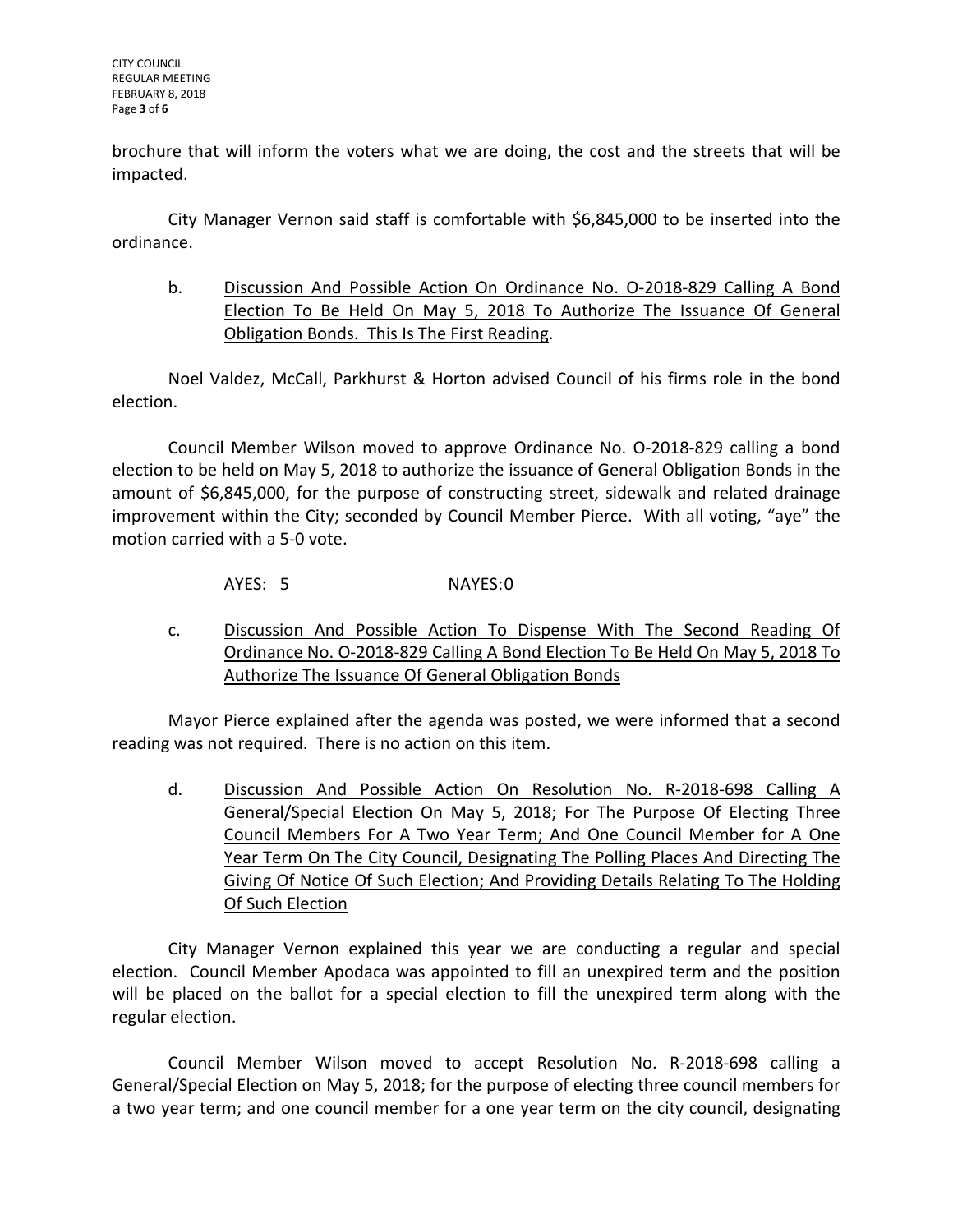brochure that will inform the voters what we are doing, the cost and the streets that will be impacted.

City Manager Vernon said staff is comfortable with \$6,845,000 to be inserted into the ordinance.

b. Discussion And Possible Action On Ordinance No. O-2018-829 Calling A Bond Election To Be Held On May 5, 2018 To Authorize The Issuance Of General Obligation Bonds. This Is The First Reading.

Noel Valdez, McCall, Parkhurst & Horton advised Council of his firms role in the bond election.

Council Member Wilson moved to approve Ordinance No. O-2018-829 calling a bond election to be held on May 5, 2018 to authorize the issuance of General Obligation Bonds in the amount of \$6,845,000, for the purpose of constructing street, sidewalk and related drainage improvement within the City; seconded by Council Member Pierce. With all voting, "aye" the motion carried with a 5-0 vote.

AYES: 5 NAYES:0

c. Discussion And Possible Action To Dispense With The Second Reading Of Ordinance No. O-2018-829 Calling A Bond Election To Be Held On May 5, 2018 To Authorize The Issuance Of General Obligation Bonds

Mayor Pierce explained after the agenda was posted, we were informed that a second reading was not required. There is no action on this item.

d. Discussion And Possible Action On Resolution No. R-2018-698 Calling A General/Special Election On May 5, 2018; For The Purpose Of Electing Three Council Members For A Two Year Term; And One Council Member for A One Year Term On The City Council, Designating The Polling Places And Directing The Giving Of Notice Of Such Election; And Providing Details Relating To The Holding Of Such Election

City Manager Vernon explained this year we are conducting a regular and special election. Council Member Apodaca was appointed to fill an unexpired term and the position will be placed on the ballot for a special election to fill the unexpired term along with the regular election.

Council Member Wilson moved to accept Resolution No. R-2018-698 calling a General/Special Election on May 5, 2018; for the purpose of electing three council members for a two year term; and one council member for a one year term on the city council, designating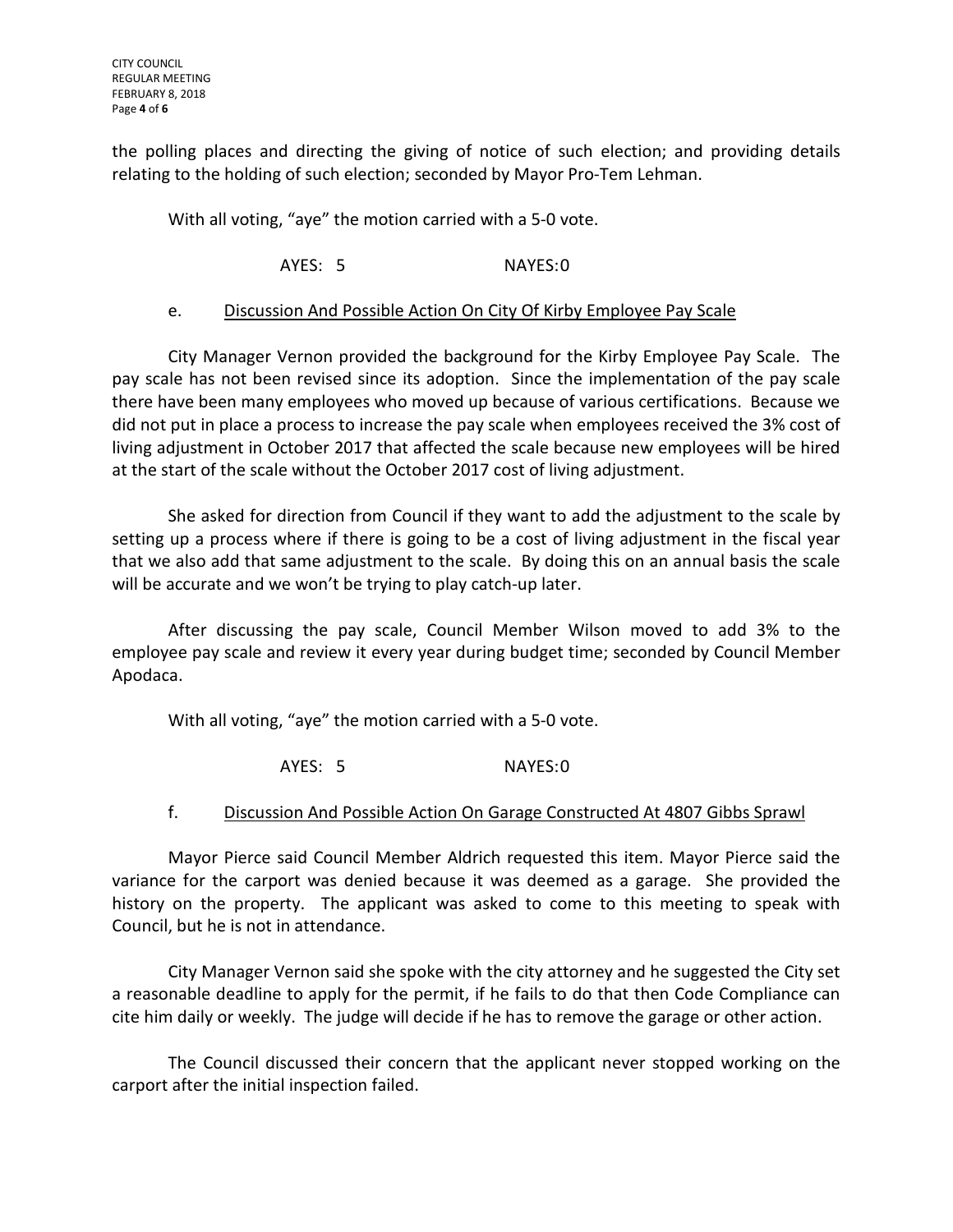the polling places and directing the giving of notice of such election; and providing details relating to the holding of such election; seconded by Mayor Pro-Tem Lehman.

With all voting, "aye" the motion carried with a 5-0 vote.

AYES: 5 NAYES:0

#### e. Discussion And Possible Action On City Of Kirby Employee Pay Scale

City Manager Vernon provided the background for the Kirby Employee Pay Scale. The pay scale has not been revised since its adoption. Since the implementation of the pay scale there have been many employees who moved up because of various certifications. Because we did not put in place a process to increase the pay scale when employees received the 3% cost of living adjustment in October 2017 that affected the scale because new employees will be hired at the start of the scale without the October 2017 cost of living adjustment.

She asked for direction from Council if they want to add the adjustment to the scale by setting up a process where if there is going to be a cost of living adjustment in the fiscal year that we also add that same adjustment to the scale. By doing this on an annual basis the scale will be accurate and we won't be trying to play catch-up later.

After discussing the pay scale, Council Member Wilson moved to add 3% to the employee pay scale and review it every year during budget time; seconded by Council Member Apodaca.

With all voting, "aye" the motion carried with a 5-0 vote.

AYES: 5 NAYES:0

#### f. Discussion And Possible Action On Garage Constructed At 4807 Gibbs Sprawl

Mayor Pierce said Council Member Aldrich requested this item. Mayor Pierce said the variance for the carport was denied because it was deemed as a garage. She provided the history on the property. The applicant was asked to come to this meeting to speak with Council, but he is not in attendance.

City Manager Vernon said she spoke with the city attorney and he suggested the City set a reasonable deadline to apply for the permit, if he fails to do that then Code Compliance can cite him daily or weekly. The judge will decide if he has to remove the garage or other action.

The Council discussed their concern that the applicant never stopped working on the carport after the initial inspection failed.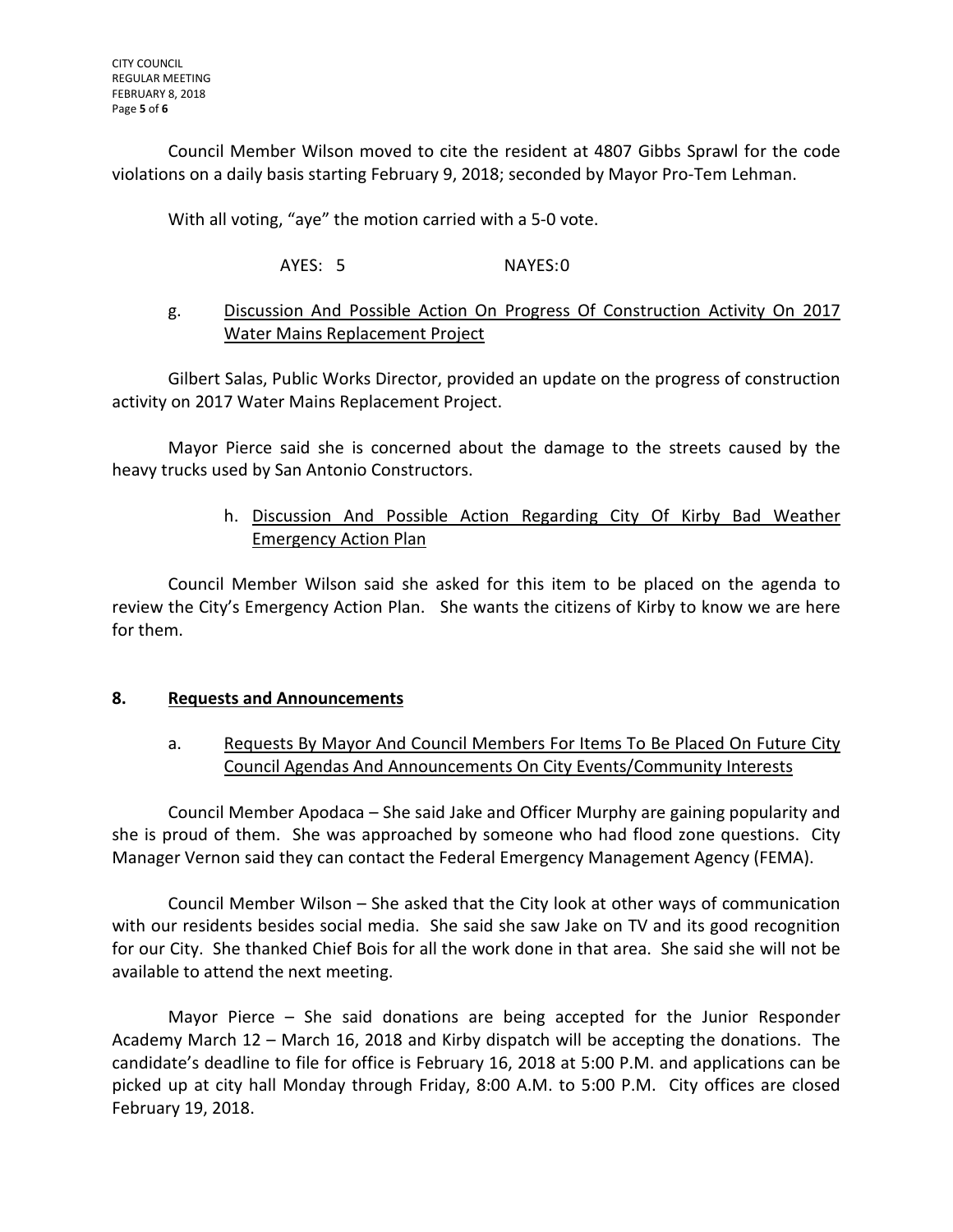Council Member Wilson moved to cite the resident at 4807 Gibbs Sprawl for the code violations on a daily basis starting February 9, 2018; seconded by Mayor Pro-Tem Lehman.

With all voting, "aye" the motion carried with a 5-0 vote.

## AYES: 5 NAYES:0

## g. Discussion And Possible Action On Progress Of Construction Activity On 2017 Water Mains Replacement Project

Gilbert Salas, Public Works Director, provided an update on the progress of construction activity on 2017 Water Mains Replacement Project.

Mayor Pierce said she is concerned about the damage to the streets caused by the heavy trucks used by San Antonio Constructors.

# h. Discussion And Possible Action Regarding City Of Kirby Bad Weather Emergency Action Plan

Council Member Wilson said she asked for this item to be placed on the agenda to review the City's Emergency Action Plan. She wants the citizens of Kirby to know we are here for them.

#### **8. Requests and Announcements**

# a. Requests By Mayor And Council Members For Items To Be Placed On Future City Council Agendas And Announcements On City Events/Community Interests

Council Member Apodaca – She said Jake and Officer Murphy are gaining popularity and she is proud of them. She was approached by someone who had flood zone questions. City Manager Vernon said they can contact the Federal Emergency Management Agency (FEMA).

Council Member Wilson – She asked that the City look at other ways of communication with our residents besides social media. She said she saw Jake on TV and its good recognition for our City. She thanked Chief Bois for all the work done in that area. She said she will not be available to attend the next meeting.

Mayor Pierce – She said donations are being accepted for the Junior Responder Academy March 12 – March 16, 2018 and Kirby dispatch will be accepting the donations. The candidate's deadline to file for office is February 16, 2018 at 5:00 P.M. and applications can be picked up at city hall Monday through Friday, 8:00 A.M. to 5:00 P.M. City offices are closed February 19, 2018.